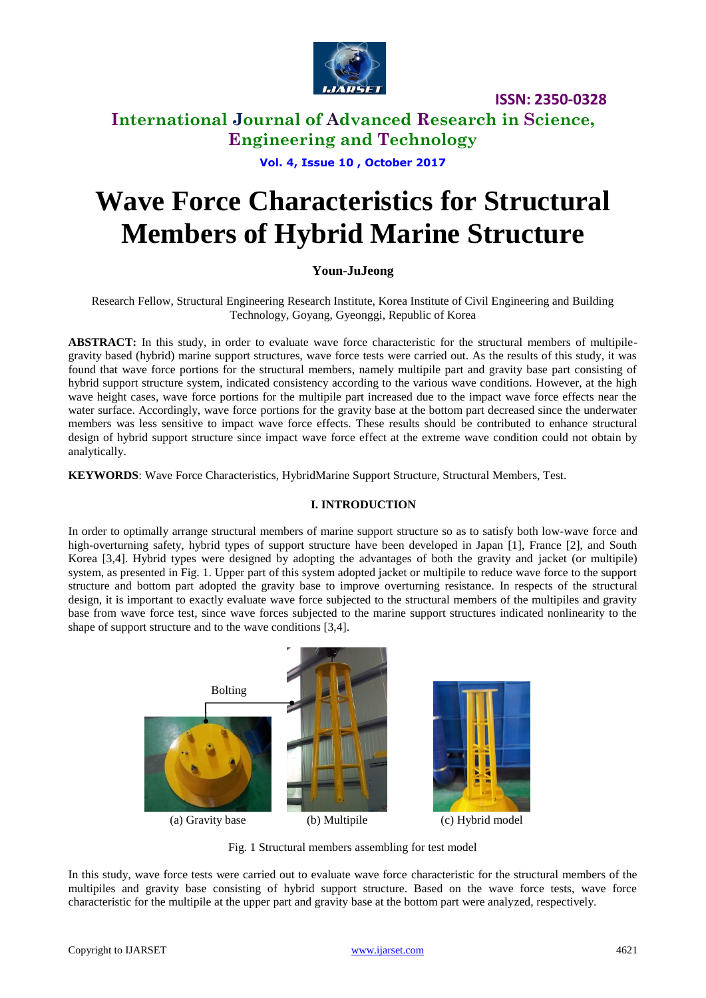

## **International Journal of Advanced Research in Science, Engineering and Technology**

**Vol. 4, Issue 10 , October 2017**

# **Wave Force Characteristics for Structural Members of Hybrid Marine Structure**

### **Youn-JuJeong**

Research Fellow, Structural Engineering Research Institute, Korea Institute of Civil Engineering and Building Technology, Goyang, Gyeonggi, Republic of Korea

**ABSTRACT:** In this study, in order to evaluate wave force characteristic for the structural members of multipilegravity based (hybrid) marine support structures, wave force tests were carried out. As the results of this study, it was found that wave force portions for the structural members, namely multipile part and gravity base part consisting of hybrid support structure system, indicated consistency according to the various wave conditions. However, at the high wave height cases, wave force portions for the multipile part increased due to the impact wave force effects near the water surface. Accordingly, wave force portions for the gravity base at the bottom part decreased since the underwater members was less sensitive to impact wave force effects. These results should be contributed to enhance structural design of hybrid support structure since impact wave force effect at the extreme wave condition could not obtain by analytically.

**KEYWORDS**: Wave Force Characteristics, HybridMarine Support Structure, Structural Members, Test.

#### **I. INTRODUCTION**

In order to optimally arrange structural members of marine support structure so as to satisfy both low-wave force and high-overturning safety, hybrid types of support structure have been developed in Japan [1], France [2], and South Korea [3,4]. Hybrid types were designed by adopting the advantages of both the gravity and jacket (or multipile) system, as presented in Fig. 1. Upper part of this system adopted jacket or multipile to reduce wave force to the support structure and bottom part adopted the gravity base to improve overturning resistance. In respects of the structural design, it is important to exactly evaluate wave force subjected to the structural members of the multipiles and gravity base from wave force test, since wave forces subjected to the marine support structures indicated nonlinearity to the shape of support structure and to the wave conditions [3,4].



Fig. 1 Structural members assembling for test model

In this study, wave force tests were carried out to evaluate wave force characteristic for the structural members of the multipiles and gravity base consisting of hybrid support structure. Based on the wave force tests, wave force characteristic for the multipile at the upper part and gravity base at the bottom part were analyzed, respectively.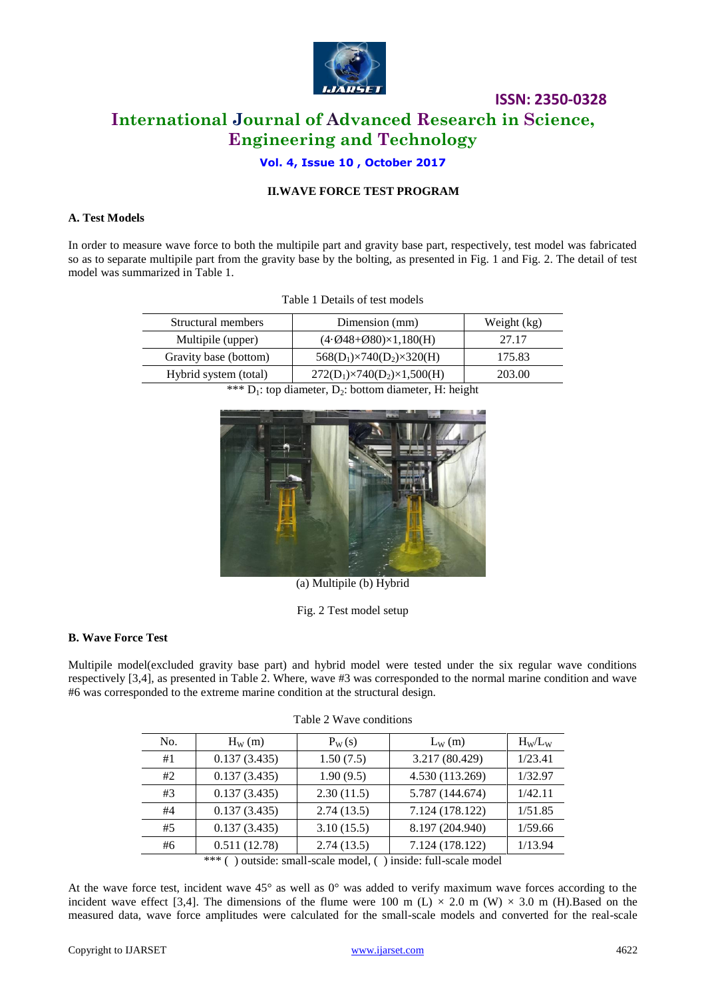

# **International Journal of Advanced Research in Science, Engineering and Technology**

### **Vol. 4, Issue 10 , October 2017**

### **II.WAVE FORCE TEST PROGRAM**

#### **A. Test Models**

In order to measure wave force to both the multipile part and gravity base part, respectively, test model was fabricated so as to separate multipile part from the gravity base by the bolting, as presented in Fig. 1 and Fig. 2. The detail of test model was summarized in Table 1.

| Structural members    | Dimension (mm)                         | Weight (kg) |
|-----------------------|----------------------------------------|-------------|
| Multipile (upper)     | $(4.048 + 0.080) \times 1,180$ (H)     | 27.17       |
| Gravity base (bottom) | $568(D_1)\times740(D_2)\times320(H)$   | 175.83      |
| Hybrid system (total) | $272(D_1)\times740(D_2)\times1,500(H)$ | 203.00      |

Table 1 Details of test models

\*\*\*  $D_1$ : top diameter,  $D_2$ : bottom diameter, H: height



(a) Multipile (b) Hybrid

Fig. 2 Test model setup

#### **B. Wave Force Test**

Multipile model(excluded gravity base part) and hybrid model were tested under the six regular wave conditions respectively [3,4], as presented in Table 2. Where, wave #3 was corresponded to the normal marine condition and wave #6 was corresponded to the extreme marine condition at the structural design.

| No. | $H_W(m)$     | $P_W(s)$   | $L_W(m)$        | $H_W/L_W$ |
|-----|--------------|------------|-----------------|-----------|
| #1  | 0.137(3.435) | 1.50(7.5)  | 3.217 (80.429)  | 1/23.41   |
| #2  | 0.137(3.435) | 1.90(9.5)  | 4.530 (113.269) | 1/32.97   |
| #3  | 0.137(3.435) | 2.30(11.5) | 5.787 (144.674) | 1/42.11   |
| #4  | 0.137(3.435) | 2.74(13.5) | 7.124 (178.122) | 1/51.85   |
| #5  | 0.137(3.435) | 3.10(15.5) | 8.197 (204.940) | 1/59.66   |
| #6  | 0.511(12.78) | 2.74(13.5) | 7.124 (178.122) | 1/13.94   |

Table 2 Wave conditions

\*\*\* ( ) outside: small-scale model, ( ) inside: full-scale model

At the wave force test, incident wave  $45^{\circ}$  as well as  $0^{\circ}$  was added to verify maximum wave forces according to the incident wave effect [3,4]. The dimensions of the flume were 100 m (L)  $\times$  2.0 m (W)  $\times$  3.0 m (H).Based on the measured data, wave force amplitudes were calculated for the small-scale models and converted for the real-scale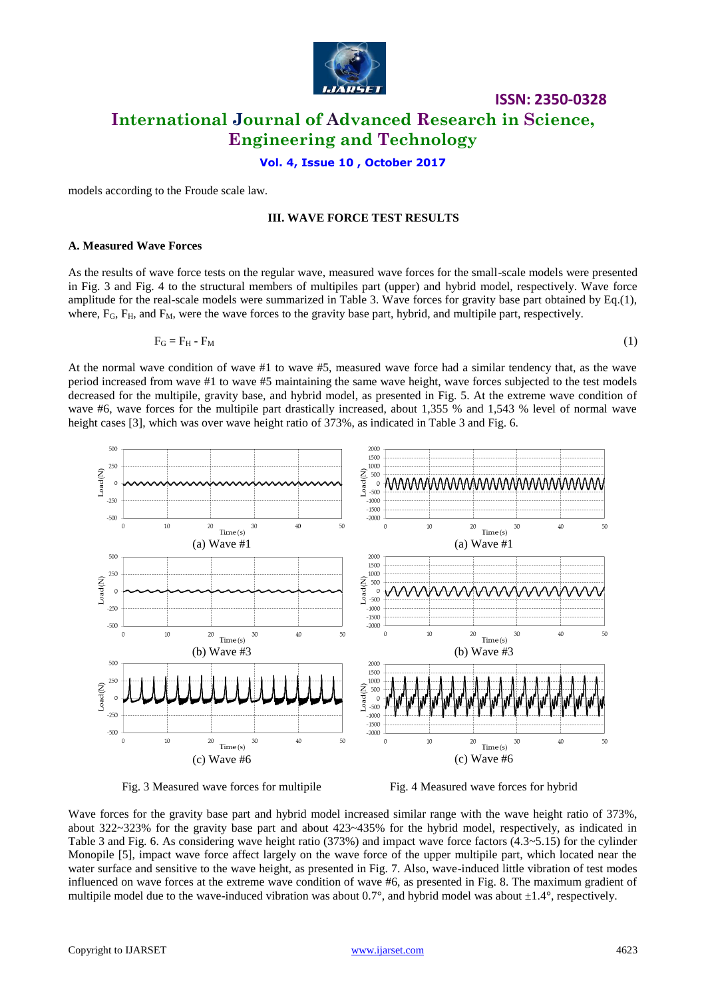

# **ISSN: 2350-0328 International Journal of Advanced Research in Science, Engineering and Technology**

### **Vol. 4, Issue 10 , October 2017**

models according to the Froude scale law.

#### **III. WAVE FORCE TEST RESULTS**

#### **A. Measured Wave Forces**

As the results of wave force tests on the regular wave, measured wave forces for the small-scale models were presented in Fig. 3 and Fig. 4 to the structural members of multipiles part (upper) and hybrid model, respectively. Wave force amplitude for the real-scale models were summarized in Table 3. Wave forces for gravity base part obtained by Eq.(1), where,  $F_G$ ,  $F_H$ , and  $F_M$ , were the wave forces to the gravity base part, hybrid, and multipile part, respectively.

$$
F_G = F_H - F_M \tag{1}
$$

At the normal wave condition of wave #1 to wave #5, measured wave force had a similar tendency that, as the wave period increased from wave #1 to wave #5 maintaining the same wave height, wave forces subjected to the test models decreased for the multipile, gravity base, and hybrid model, as presented in Fig. 5. At the extreme wave condition of wave #6, wave forces for the multipile part drastically increased, about 1,355 % and 1,543 % level of normal wave height cases [3], which was over wave height ratio of 373%, as indicated in Table 3 and Fig. 6.



Fig. 3 Measured wave forces for multipile Fig. 4 Measured wave forces for hybrid

Wave forces for the gravity base part and hybrid model increased similar range with the wave height ratio of 373%, about 322~323% for the gravity base part and about 423~435% for the hybrid model, respectively, as indicated in Table 3 and Fig. 6. As considering wave height ratio (373%) and impact wave force factors (4.3~5.15) for the cylinder Monopile [5], impact wave force affect largely on the wave force of the upper multipile part, which located near the water surface and sensitive to the wave height, as presented in Fig. 7. Also, wave-induced little vibration of test modes influenced on wave forces at the extreme wave condition of wave #6, as presented in Fig. 8. The maximum gradient of multipile model due to the wave-induced vibration was about  $0.7^{\circ}$ , and hybrid model was about  $\pm 1.4^{\circ}$ , respectively.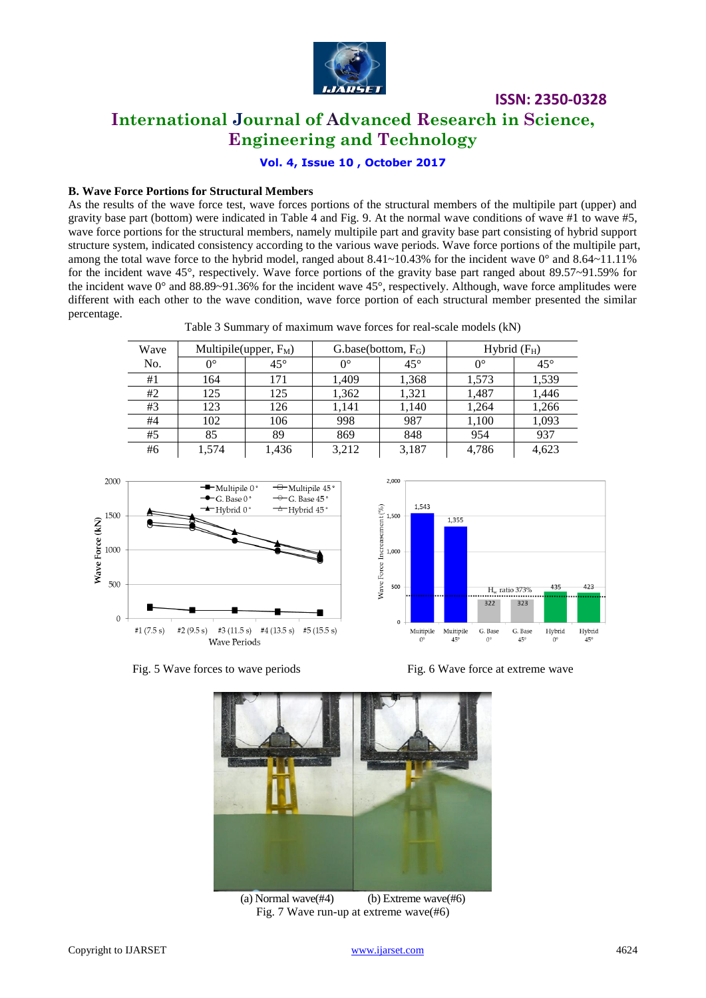

# **International Journal of Advanced Research in Science, Engineering and Technology**

**Vol. 4, Issue 10 , October 2017**

#### **B. Wave Force Portions for Structural Members**

As the results of the wave force test, wave forces portions of the structural members of the multipile part (upper) and gravity base part (bottom) were indicated in Table 4 and Fig. 9. At the normal wave conditions of wave #1 to wave #5, wave force portions for the structural members, namely multipile part and gravity base part consisting of hybrid support structure system, indicated consistency according to the various wave periods. Wave force portions of the multipile part, among the total wave force to the hybrid model, ranged about  $8.41~10.43\%$  for the incident wave 0° and  $8.64~11.11\%$ for the incident wave 45°, respectively. Wave force portions of the gravity base part ranged about 89.57~91.59% for the incident wave 0° and 88.89~91.36% for the incident wave 45°, respectively. Although, wave force amplitudes were different with each other to the wave condition, wave force portion of each structural member presented the similar percentage.

| Wave |             | Multipile(upper, $F_M$ )<br>G.base(bottom, $F_G$ ) |             |              | Hybrid $(F_H)$ |              |
|------|-------------|----------------------------------------------------|-------------|--------------|----------------|--------------|
| No.  | $0^{\circ}$ | $45^{\circ}$                                       | $0^{\circ}$ | $45^{\circ}$ | $0^{\circ}$    | $45^{\circ}$ |
| #1   | 164         | 171                                                | 1.409       | 1,368        | 1.573          | 1,539        |
| #2   | 125         | 125                                                | 1,362       | 1,321        | 1,487          | 1,446        |
| #3   | 123         | 126                                                | 1.141       | 1.140        | 1,264          | 1,266        |
| #4   | 102         | 106                                                | 998         | 987          | 1,100          | 1,093        |
| #5   | 85          | 89                                                 | 869         | 848          | 954            | 937          |
| #6   | 1,574       | 1,436                                              | 3,212       | 3,187        | 4,786          | 4,623        |





Fig. 5 Wave forces to wave periods Fig. 6 Wave force at extreme wave



(a) Normal wave( $#4$ ) (b) Extreme wave( $#6$ ) Fig. 7 Wave run-up at extreme wave(#6)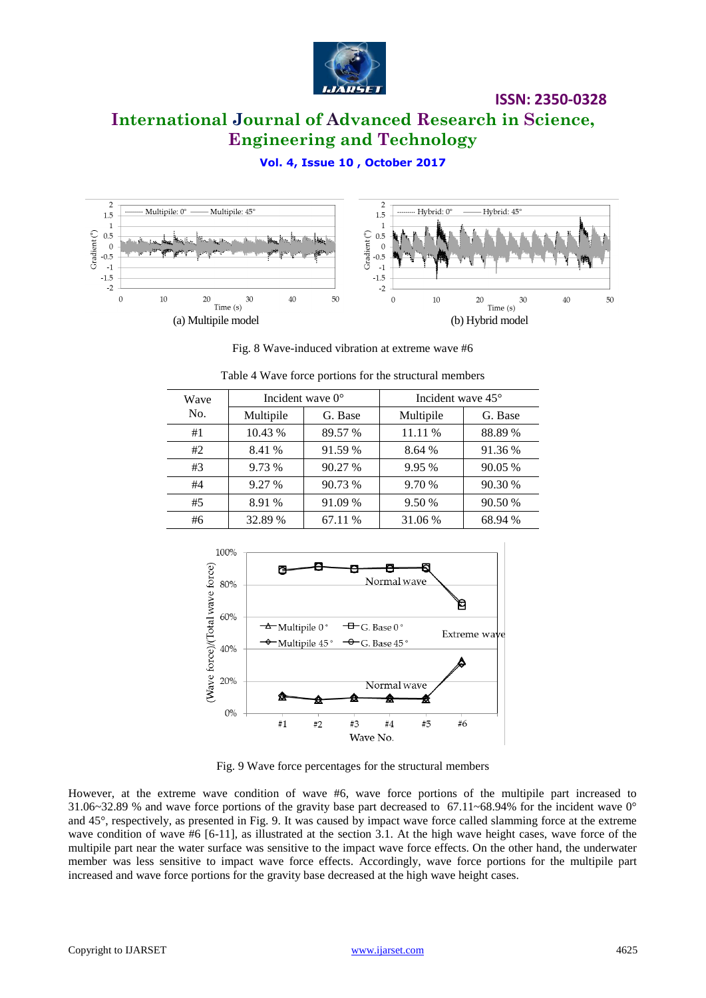

# **International Journal of Advanced Research in Science, Engineering and Technology**

### **Vol. 4, Issue 10 , October 2017**



Fig. 8 Wave-induced vibration at extreme wave #6

| Wave<br>No. | Incident wave $0^{\circ}$ |         | Incident wave $45^{\circ}$ |         |
|-------------|---------------------------|---------|----------------------------|---------|
|             | Multipile                 | G. Base | Multipile                  | G. Base |
| #1          | 10.43 %                   | 89.57 % | 11.11 %                    | 88.89%  |
| #2          | 8.41 %                    | 91.59 % | 8.64 %                     | 91.36 % |
| #3          | 9.73 %                    | 90.27%  | 9.95 %                     | 90.05 % |
| #4          | 9.27 %                    | 90.73 % | 9.70 %                     | 90.30 % |
| #5          | 8.91 %                    | 91.09 % | 9.50 %                     | 90.50 % |
| #6          | 32.89 %                   | 67.11 % | 31.06 %                    | 68.94 % |

Table 4 Wave force portions for the structural members



Fig. 9 Wave force percentages for the structural members

However, at the extreme wave condition of wave #6, wave force portions of the multipile part increased to 31.06~32.89 % and wave force portions of the gravity base part decreased to 67.11~68.94% for the incident wave  $0^{\circ}$ and 45°, respectively, as presented in Fig. 9. It was caused by impact wave force called slamming force at the extreme wave condition of wave #6 [6-11], as illustrated at the section 3.1. At the high wave height cases, wave force of the multipile part near the water surface was sensitive to the impact wave force effects. On the other hand, the underwater member was less sensitive to impact wave force effects. Accordingly, wave force portions for the multipile part increased and wave force portions for the gravity base decreased at the high wave height cases.